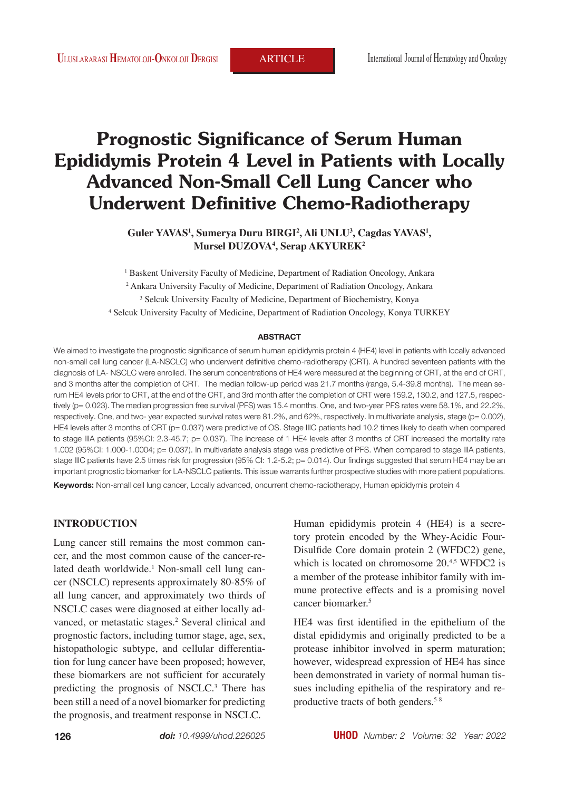# **Prognostic Significance of Serum Human Epididymis Protein 4 Level in Patients with Locally Advanced Non-Small Cell Lung Cancer who Underwent Definitive Chemo-Radiotherapy**

 $G$ uler YAVAS<sup>1</sup>, Sumerya Duru BIRGI<sup>2</sup>, Ali UNLU<sup>3</sup>, Cagdas YAVAS<sup>1</sup>, **Mursel DUZOVA4 , Serap AKYUREK2**

<sup>1</sup> Baskent University Faculty of Medicine, Department of Radiation Oncology, Ankara Ankara University Faculty of Medicine, Department of Radiation Oncology, Ankara Selcuk University Faculty of Medicine, Department of Biochemistry, Konya Selcuk University Faculty of Medicine, Department of Radiation Oncology, Konya TURKEY

#### **ABSTRACT**

We aimed to investigate the prognostic significance of serum human epididymis protein 4 (HE4) level in patients with locally advanced non-small cell lung cancer (LA-NSCLC) who underwent definitive chemo-radiotherapy (CRT). A hundred seventeen patients with the diagnosis of LA- NSCLC were enrolled. The serum concentrations of HE4 were measured at the beginning of CRT, at the end of CRT, and 3 months after the completion of CRT. The median follow-up period was 21.7 months (range, 5.4-39.8 months). The mean serum HE4 levels prior to CRT, at the end of the CRT, and 3rd month after the completion of CRT were 159.2, 130.2, and 127.5, respectively (p= 0.023). The median progression free survival (PFS) was 15.4 months. One, and two-year PFS rates were 58.1%, and 22.2%, respectively. One, and two- year expected survival rates were 81.2%, and 62%, respectively. In multivariate analysis, stage (p= 0.002), HE4 levels after 3 months of CRT (p= 0.037) were predictive of OS. Stage IIIC patients had 10.2 times likely to death when compared to stage IIIA patients (95%CI: 2.3-45.7; p= 0.037). The increase of 1 HE4 levels after 3 months of CRT increased the mortality rate 1.002 (95%CI: 1.000-1.0004; p= 0.037). In multivariate analysis stage was predictive of PFS. When compared to stage IIIA patients, stage IIIC patients have 2.5 times risk for progression (95% CI: 1.2-5.2; p= 0.014). Our findings suggested that serum HE4 may be an important prognostic biomarker for LA-NSCLC patients. This issue warrants further prospective studies with more patient populations.

**Keywords:** Non-small cell lung cancer, Locally advanced, oncurrent chemo-radiotherapy, Human epididymis protein 4

# **INTRODUCTION**

Lung cancer still remains the most common cancer, and the most common cause of the cancer-related death worldwide.<sup>1</sup> Non-small cell lung cancer (NSCLC) represents approximately 80-85% of all lung cancer, and approximately two thirds of NSCLC cases were diagnosed at either locally advanced, or metastatic stages.<sup>2</sup> Several clinical and prognostic factors, including tumor stage, age, sex, histopathologic subtype, and cellular differentiation for lung cancer have been proposed; however, these biomarkers are not sufficient for accurately predicting the prognosis of NSCLC.<sup>3</sup> There has been still a need of a novel biomarker for predicting the prognosis, and treatment response in NSCLC.

Human epididymis protein 4 (HE4) is a secretory protein encoded by the Whey-Acidic Four-Disulfide Core domain protein 2 (WFDC2) gene, which is located on chromosome 20.<sup>4,5</sup> WFDC2 is a member of the protease inhibitor family with immune protective effects and is a promising novel cancer biomarker.<sup>5</sup>

HE4 was first identified in the epithelium of the distal epididymis and originally predicted to be a protease inhibitor involved in sperm maturation; however, widespread expression of HE4 has since been demonstrated in variety of normal human tissues including epithelia of the respiratory and reproductive tracts of both genders.<sup>5-8</sup>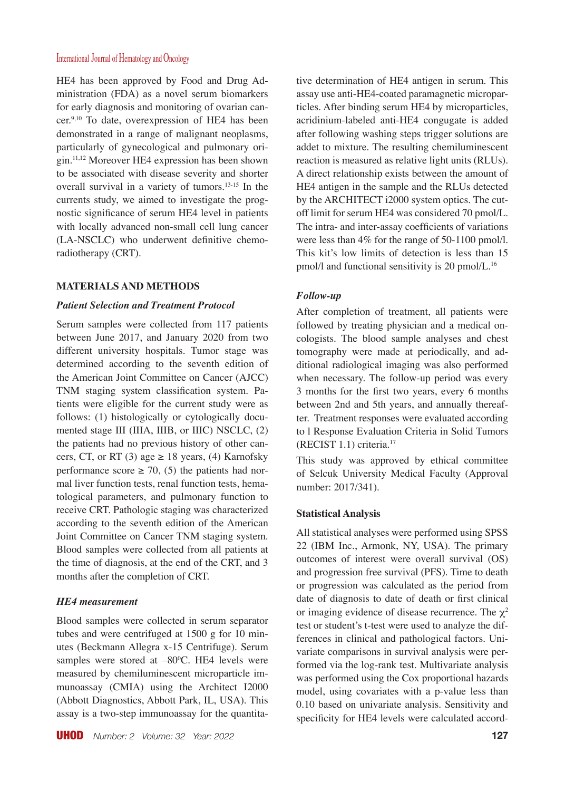HE4 has been approved by Food and Drug Administration (FDA) as a novel serum biomarkers for early diagnosis and monitoring of ovarian cancer.<sup>9,10</sup> To date, overexpression of HE4 has been demonstrated in a range of malignant neoplasms, particularly of gynecological and pulmonary origin.11,12 Moreover HE4 expression has been shown to be associated with disease severity and shorter overall survival in a variety of tumors.13-15 In the currents study, we aimed to investigate the prognostic significance of serum HE4 level in patients with locally advanced non-small cell lung cancer (LA-NSCLC) who underwent definitive chemoradiotherapy (CRT).

### **MATERIALS AND METHODS**

### *Patient Selection and Treatment Protocol*

Serum samples were collected from 117 patients between June 2017, and January 2020 from two different university hospitals. Tumor stage was determined according to the seventh edition of the American Joint Committee on Cancer (AJCC) TNM staging system classification system. Patients were eligible for the current study were as follows: (1) histologically or cytologically documented stage III (IIIA, IIIB, or IIIC) NSCLC, (2) the patients had no previous history of other cancers, CT, or RT (3) age  $\geq$  18 years, (4) Karnofsky performance score  $\geq$  70, (5) the patients had normal liver function tests, renal function tests, hematological parameters, and pulmonary function to receive CRT. Pathologic staging was characterized according to the seventh edition of the American Joint Committee on Cancer TNM staging system. Blood samples were collected from all patients at the time of diagnosis, at the end of the CRT, and 3 months after the completion of CRT.

### *HE4 measurement*

Blood samples were collected in serum separator tubes and were centrifuged at 1500 g for 10 minutes (Beckmann Allegra x-15 Centrifuge). Serum samples were stored at  $-80^{\circ}$ C. HE4 levels were measured by chemiluminescent microparticle immunoassay (CMIA) using the Architect I2000 (Abbott Diagnostics, Abbott Park, IL, USA). This assay is a two-step immunoassay for the quantitative determination of HE4 antigen in serum. This assay use anti-HE4-coated paramagnetic microparticles. After binding serum HE4 by microparticles, acridinium-labeled anti-HE4 congugate is added after following washing steps trigger solutions are addet to mixture. The resulting chemiluminescent reaction is measured as relative light units (RLUs). A direct relationship exists between the amount of HE4 antigen in the sample and the RLUs detected by the ARCHITECT i2000 system optics. The cutoff limit for serum HE4 was considered 70 pmol/L. The intra- and inter-assay coefficients of variations were less than 4% for the range of 50-1100 pmol/l. This kit's low limits of detection is less than 15 pmol/l and functional sensitivity is 20 pmol/L.16

## *Follow-up*

After completion of treatment, all patients were followed by treating physician and a medical oncologists. The blood sample analyses and chest tomography were made at periodically, and additional radiological imaging was also performed when necessary. The follow-up period was every 3 months for the first two years, every 6 months between 2nd and 5th years, and annually thereafter. Treatment responses were evaluated according to l Response Evaluation Criteria in Solid Tumors (RECIST 1.1) criteria.17

This study was approved by ethical committee of Selcuk University Medical Faculty (Approval number: 2017/341).

### **Statistical Analysis**

All statistical analyses were performed using SPSS 22 (IBM Inc., Armonk, NY, USA). The primary outcomes of interest were overall survival (OS) and progression free survival (PFS). Time to death or progression was calculated as the period from date of diagnosis to date of death or first clinical or imaging evidence of disease recurrence. The  $\chi^2$ test or student's t-test were used to analyze the differences in clinical and pathological factors. Univariate comparisons in survival analysis were performed via the log-rank test. Multivariate analysis was performed using the Cox proportional hazards model, using covariates with a p-value less than 0.10 based on univariate analysis. Sensitivity and specificity for HE4 levels were calculated accord-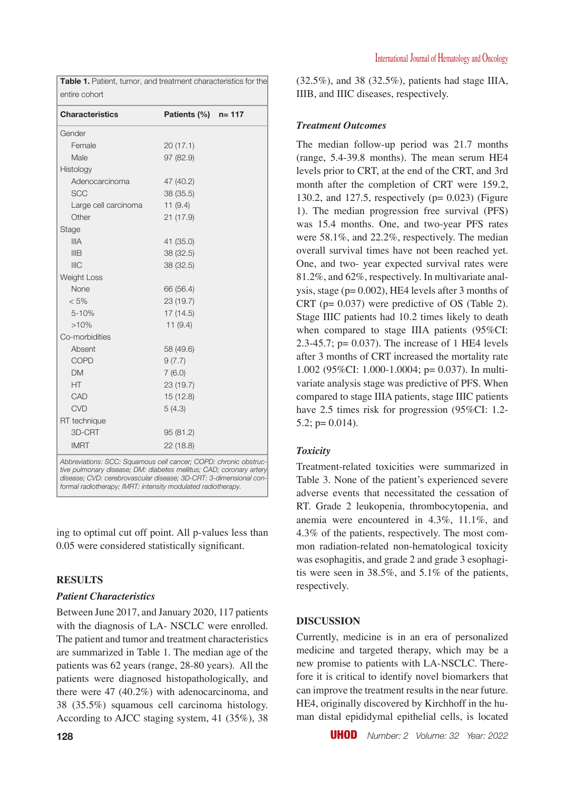| <b>Characteristics</b> | Patients $(\%)$ n= 117 |  |
|------------------------|------------------------|--|
| Gender                 |                        |  |
| Female                 | 20(17.1)               |  |
| Male                   | 97 (82.9)              |  |
| Histology              |                        |  |
| Adenocarcinoma         | 47 (40.2)              |  |
| <b>SCC</b>             | 38 (35.5)              |  |
| Large cell carcinoma   | 11(9.4)                |  |
| Other                  | 21 (17.9)              |  |
| Stage                  |                        |  |
| <b>IIIA</b>            | 41 (35.0)              |  |
| <b>IIIB</b>            | 38 (32.5)              |  |
| <b>IIIC</b>            | 38 (32.5)              |  |
| <b>Weight Loss</b>     |                        |  |
| None                   | 66 (56.4)              |  |
| $< 5\%$                | 23 (19.7)              |  |
| 5-10%                  | 17(14.5)               |  |
| >10%                   | 11(9.4)                |  |
| Co-morbidities         |                        |  |
| Absent                 | 58 (49.6)              |  |
| <b>COPD</b>            | 9(7.7)                 |  |
| <b>DM</b>              | 7(6.0)                 |  |
| HT                     | 23 (19.7)              |  |
| CAD                    | 15(12.8)               |  |
| <b>CVD</b>             | 5(4.3)                 |  |
| RT technique           |                        |  |
| 3D-CRT                 | 95(81.2)               |  |
| <b>IMRT</b>            | 22(18.8)               |  |

**Table 1.** Patient, tumor, and treatment characteristics for the

*tive pulmonary disease; DM: diabetes mellitus; CAD; coronary artery disease; CVD: cerebrovascular disease; 3D-CRT: 3-dimensional conformal radiotherapy; IMRT: intensity modulated radiotherapy.*

ing to optimal cut off point. All p-values less than 0.05 were considered statistically significant.

# **RESULTS**

# *Patient Characteristics*

Between June 2017, and January 2020, 117 patients with the diagnosis of LA- NSCLC were enrolled. The patient and tumor and treatment characteristics are summarized in Table 1. The median age of the patients was 62 years (range, 28-80 years). All the patients were diagnosed histopathologically, and there were 47 (40.2%) with adenocarcinoma, and 38 (35.5%) squamous cell carcinoma histology. According to AJCC staging system, 41 (35%), 38 (32.5%), and 38 (32.5%), patients had stage IIIA, IIIB, and IIIC diseases, respectively.

# *Treatment Outcomes*

The median follow-up period was 21.7 months (range, 5.4-39.8 months). The mean serum HE4 levels prior to CRT, at the end of the CRT, and 3rd month after the completion of CRT were 159.2, 130.2, and 127.5, respectively  $(p= 0.023)$  (Figure 1). The median progression free survival (PFS) was 15.4 months. One, and two-year PFS rates were 58.1%, and 22.2%, respectively. The median overall survival times have not been reached yet. One, and two- year expected survival rates were 81.2%, and 62%, respectively. In multivariate analysis, stage (p= 0.002), HE4 levels after 3 months of CRT (p= 0.037) were predictive of OS (Table 2). Stage IIIC patients had 10.2 times likely to death when compared to stage IIIA patients (95%CI: 2.3-45.7; p= 0.037). The increase of 1 HE4 levels after 3 months of CRT increased the mortality rate 1.002 (95%CI: 1.000-1.0004; p= 0.037). In multivariate analysis stage was predictive of PFS. When compared to stage IIIA patients, stage IIIC patients have 2.5 times risk for progression (95%CI: 1.2-  $5.2$ ; p= 0.014).

# *Toxicity*

Treatment-related toxicities were summarized in Table 3. None of the patient's experienced severe adverse events that necessitated the cessation of RT. Grade 2 leukopenia, thrombocytopenia, and anemia were encountered in 4.3%, 11.1%, and 4.3% of the patients, respectively. The most common radiation-related non-hematological toxicity was esophagitis, and grade 2 and grade 3 esophagitis were seen in 38.5%, and 5.1% of the patients, respectively.

# **DISCUSSION**

Currently, medicine is in an era of personalized medicine and targeted therapy, which may be a new promise to patients with LA-NSCLC. Therefore it is critical to identify novel biomarkers that can improve the treatment results in the near future. HE4, originally discovered by Kirchhoff in the human distal epididymal epithelial cells, is located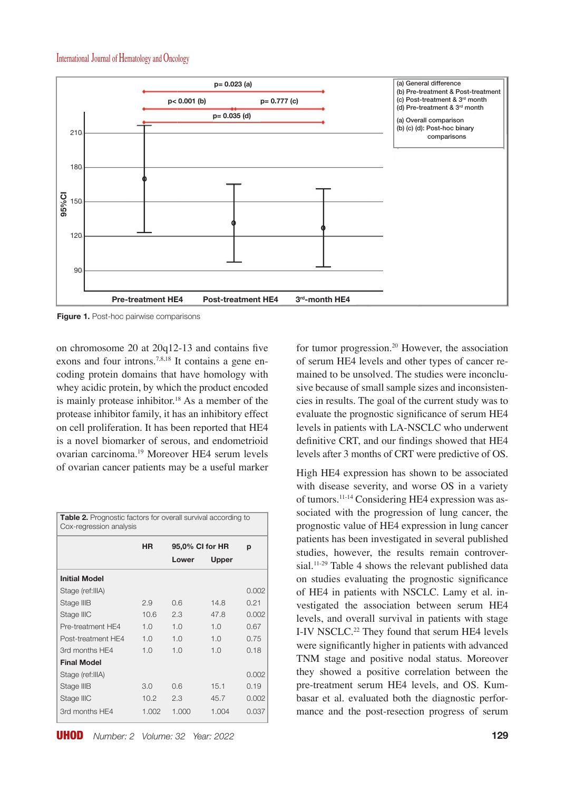

**Figure 1.** Post-hoc pairwise comparisons

on chromosome 20 at 20q12-13 and contains five exons and four introns.<sup>7,8,18</sup> It contains a gene encoding protein domains that have homology with whey acidic protein, by which the product encoded is mainly protease inhibitor.<sup>18</sup> As a member of the protease inhibitor family, it has an inhibitory effect on cell proliferation. It has been reported that HE4 is a novel biomarker of serous, and endometrioid ovarian carcinoma.19 Moreover HE4 serum levels of ovarian cancer patients may be a useful marker

| <b>Table 2.</b> Prognostic factors for overall survival according to<br>Cox-regression analysis |           |                 |       |       |  |  |
|-------------------------------------------------------------------------------------------------|-----------|-----------------|-------|-------|--|--|
|                                                                                                 | <b>HR</b> | 95,0% CI for HR |       | p     |  |  |
|                                                                                                 |           | Lower           | Upper |       |  |  |
| <b>Initial Model</b>                                                                            |           |                 |       |       |  |  |
| Stage (ref: IIIA)                                                                               |           |                 |       | 0.002 |  |  |
| Stage IIIB                                                                                      | 2.9       | 0.6             | 14.8  | 0.21  |  |  |
| Stage IIIC                                                                                      | 10.6      | 2.3             | 47.8  | 0.002 |  |  |
| Pre-treatment HF4                                                                               | 1.0       | 1.0             | 1.0   | 0.67  |  |  |
| Post-treatment HF4                                                                              | 1.0       | 1.0             | 1.0   | 0.75  |  |  |
| 3rd months HE4                                                                                  | 1.0       | 1.0             | 1.0   | 0.18  |  |  |
| <b>Final Model</b>                                                                              |           |                 |       |       |  |  |
| Stage (ref: IIIA)                                                                               |           |                 |       | 0.002 |  |  |
| Stage IIIB                                                                                      | 3.0       | 0.6             | 15.1  | 0.19  |  |  |
| Stage IIIC                                                                                      | 10.2      | 2.3             | 45.7  | 0.002 |  |  |
| 3rd months HF4                                                                                  | 1.002     | 1.000           | 1.004 | 0.037 |  |  |

for tumor progression.<sup>20</sup> However, the association of serum HE4 levels and other types of cancer remained to be unsolved. The studies were inconclusive because of small sample sizes and inconsistencies in results. The goal of the current study was to evaluate the prognostic significance of serum HE4 levels in patients with LA-NSCLC who underwent definitive CRT, and our findings showed that HE4 levels after 3 months of CRT were predictive of OS.

High HE4 expression has shown to be associated with disease severity, and worse OS in a variety of tumors.11-14 Considering HE4 expression was associated with the progression of lung cancer, the prognostic value of HE4 expression in lung cancer patients has been investigated in several published studies, however, the results remain controversial.<sup>11-29</sup> Table 4 shows the relevant published data on studies evaluating the prognostic significance of HE4 in patients with NSCLC. Lamy et al. investigated the association between serum HE4 levels, and overall survival in patients with stage I-IV NSCLC.<sup>22</sup> They found that serum HE4 levels were significantly higher in patients with advanced TNM stage and positive nodal status. Moreover they showed a positive correlation between the pre-treatment serum HE4 levels, and OS. Kumbasar et al. evaluated both the diagnostic performance and the post-resection progress of serum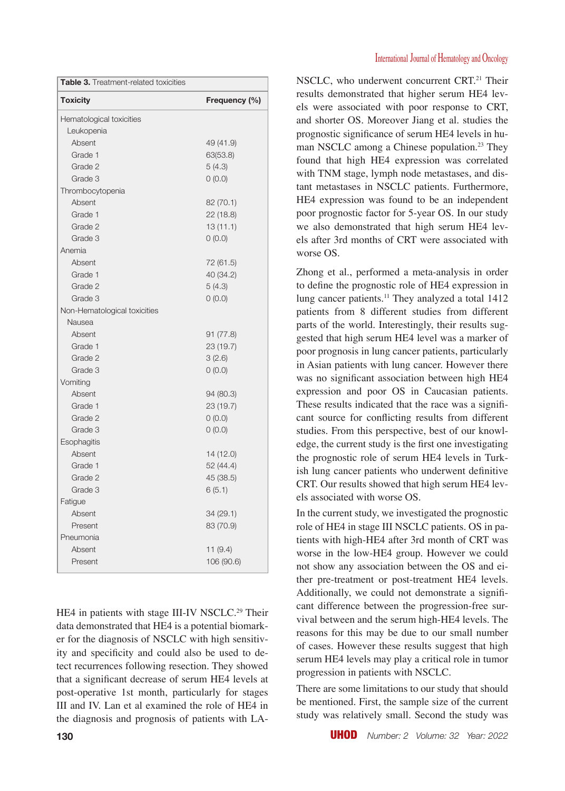| Table 3. Treatment-related toxicities |               |  |  |  |
|---------------------------------------|---------------|--|--|--|
| <b>Toxicity</b>                       | Frequency (%) |  |  |  |
| Hematological toxicities              |               |  |  |  |
| Leukopenia                            |               |  |  |  |
| Absent                                | 49 (41.9)     |  |  |  |
| Grade 1                               | 63(53.8)      |  |  |  |
| Grade 2                               | 5(4.3)        |  |  |  |
| Grade 3                               | 0(0.0)        |  |  |  |
| Thrombocytopenia                      |               |  |  |  |
| Absent                                | 82 (70.1)     |  |  |  |
| Grade 1                               | 22 (18.8)     |  |  |  |
| Grade 2                               | 13(11.1)      |  |  |  |
| Grade 3                               | 0(0.0)        |  |  |  |
| Anemia                                |               |  |  |  |
| Absent                                | 72 (61.5)     |  |  |  |
| Grade 1                               | 40 (34.2)     |  |  |  |
| Grade 2                               | 5(4.3)        |  |  |  |
| Grade 3                               | 0(0.0)        |  |  |  |
| Non-Hematological toxicities          |               |  |  |  |
| Nausea                                |               |  |  |  |
| Absent                                | 91(77.8)      |  |  |  |
| Grade 1                               | 23 (19.7)     |  |  |  |
| Grade 2                               | 3(2.6)        |  |  |  |
| Grade 3                               | 0(0.0)        |  |  |  |
| Vomiting                              |               |  |  |  |
| Absent                                | 94 (80.3)     |  |  |  |
| Grade 1                               | 23 (19.7)     |  |  |  |
| Grade 2                               | 0(0.0)        |  |  |  |
| Grade 3                               | 0(0.0)        |  |  |  |
| Esophagitis                           |               |  |  |  |
| Absent                                | 14 (12.0)     |  |  |  |
| Grade 1                               | 52 (44.4)     |  |  |  |
| Grade 2                               | 45 (38.5)     |  |  |  |
| Grade 3                               | 6(5.1)        |  |  |  |
| Fatigue                               |               |  |  |  |
| Absent                                | 34 (29.1)     |  |  |  |
| Present                               | 83 (70.9)     |  |  |  |
| Pneumonia                             |               |  |  |  |
| Absent                                | 11 (9.4)      |  |  |  |
| Present                               | 106 (90.6)    |  |  |  |

HE4 in patients with stage III-IV NSCLC.<sup>29</sup> Their data demonstrated that HE4 is a potential biomarker for the diagnosis of NSCLC with high sensitivity and specificity and could also be used to detect recurrences following resection. They showed that a significant decrease of serum HE4 levels at post-operative 1st month, particularly for stages III and IV. Lan et al examined the role of HE4 in the diagnosis and prognosis of patients with LA- NSCLC, who underwent concurrent CRT.<sup>21</sup> Their results demonstrated that higher serum HE4 levels were associated with poor response to CRT, and shorter OS. Moreover Jiang et al. studies the prognostic significance of serum HE4 levels in human NSCLC among a Chinese population.<sup>23</sup> They found that high HE4 expression was correlated with TNM stage, lymph node metastases, and distant metastases in NSCLC patients. Furthermore, HE4 expression was found to be an independent poor prognostic factor for 5-year OS. In our study we also demonstrated that high serum HE4 levels after 3rd months of CRT were associated with worse OS.

Zhong et al., performed a meta-analysis in order to define the prognostic role of HE4 expression in lung cancer patients.<sup>11</sup> They analyzed a total 1412 patients from 8 different studies from different parts of the world. Interestingly, their results suggested that high serum HE4 level was a marker of poor prognosis in lung cancer patients, particularly in Asian patients with lung cancer. However there was no significant association between high HE4 expression and poor OS in Caucasian patients. These results indicated that the race was a significant source for conflicting results from different studies. From this perspective, best of our knowledge, the current study is the first one investigating the prognostic role of serum HE4 levels in Turkish lung cancer patients who underwent definitive CRT. Our results showed that high serum HE4 levels associated with worse OS.

In the current study, we investigated the prognostic role of HE4 in stage III NSCLC patients. OS in patients with high-HE4 after 3rd month of CRT was worse in the low-HE4 group. However we could not show any association between the OS and either pre-treatment or post-treatment HE4 levels. Additionally, we could not demonstrate a significant difference between the progression-free survival between and the serum high-HE4 levels. The reasons for this may be due to our small number of cases. However these results suggest that high serum HE4 levels may play a critical role in tumor progression in patients with NSCLC.

There are some limitations to our study that should be mentioned. First, the sample size of the current study was relatively small. Second the study was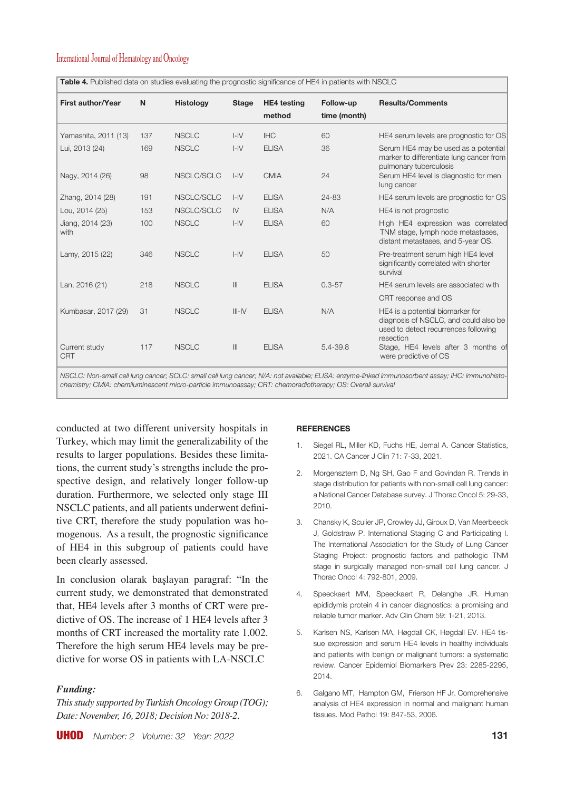| <b>First author/Year</b>    | N   | <b>Histology</b> | <b>Stage</b>   | <b>HE4</b> testing<br>method | Follow-up<br>time (month) | <b>Results/Comments</b>                                                                                                        |
|-----------------------------|-----|------------------|----------------|------------------------------|---------------------------|--------------------------------------------------------------------------------------------------------------------------------|
| Yamashita, 2011 (13)        | 137 | <b>NSCLC</b>     | $I - IV$       | <b>IHC</b>                   | 60                        | HE4 serum levels are prognostic for OS                                                                                         |
| Lui, 2013 (24)              | 169 | <b>NSCLC</b>     | $I - IV$       | <b>ELISA</b>                 | 36                        | Serum HE4 may be used as a potential<br>marker to differentiate lung cancer from<br>pulmonary tuberculosis                     |
| Nagy, 2014 (26)             | 98  | NSCLC/SCLC       | $I - IV$       | <b>CMIA</b>                  | 24                        | Serum HE4 level is diagnostic for men<br>lung cancer                                                                           |
| Zhang, 2014 (28)            | 191 | NSCLC/SCLC       | $I - IV$       | <b>ELISA</b>                 | 24-83                     | HE4 serum levels are prognostic for OS                                                                                         |
| Lou, 2014 (25)              | 153 | NSCLC/SCLC       | IV             | <b>ELISA</b>                 | N/A                       | HE4 is not prognostic                                                                                                          |
| Jiang, 2014 (23)<br>with    | 100 | <b>NSCLC</b>     | $I - IV$       | <b>ELISA</b>                 | 60                        | High HE4 expression was correlated<br>TNM stage, lymph node metastases,<br>distant metastases, and 5-year OS.                  |
| Lamy, 2015 (22)             | 346 | <b>NSCLC</b>     | $I - IV$       | <b>ELISA</b>                 | 50                        | Pre-treatment serum high HE4 level<br>significantly correlated with shorter<br>survival                                        |
| Lan, 2016 (21)              | 218 | <b>NSCLC</b>     | $\mathbf{III}$ | <b>ELISA</b>                 | $0.3 - 57$                | HE4 serum levels are associated with                                                                                           |
|                             |     |                  |                |                              |                           | CRT response and OS                                                                                                            |
| Kumbasar, 2017 (29)         | 31  | <b>NSCLC</b>     | $III - IV$     | <b>ELISA</b>                 | N/A                       | HE4 is a potential biomarker for<br>diagnosis of NSCLC, and could also be<br>used to detect recurrences following<br>resection |
| Current study<br><b>CRT</b> | 117 | <b>NSCLC</b>     | $\mathbb{H}$   | <b>ELISA</b>                 | 5.4-39.8                  | Stage, HE4 levels after 3 months of<br>were predictive of OS                                                                   |

*NSCLC: Non-small cell lung cancer; SCLC: small cell lung cancer; N/A: not available; ELISA: enzyme-linked immunosorbent assay; IHC: immunohisto-*

*chemistry; CMIA: chemiluminescent micro-particle immunoassay; CRT: chemoradiotherapy; OS: Overall survival*

**Table 4.** Published data on studies evaluating the prognostic significance of HE4 in patients with NSCLC

conducted at two different university hospitals in Turkey, which may limit the generalizability of the results to larger populations. Besides these limitations, the current study's strengths include the prospective design, and relatively longer follow-up duration. Furthermore, we selected only stage III NSCLC patients, and all patients underwent definitive CRT, therefore the study population was homogenous. As a result, the prognostic significance of HE4 in this subgroup of patients could have been clearly assessed.

In conclusion olarak başlayan paragraf: "In the current study, we demonstrated that demonstrated that, HE4 levels after 3 months of CRT were predictive of OS. The increase of 1 HE4 levels after 3 months of CRT increased the mortality rate 1.002. Therefore the high serum HE4 levels may be predictive for worse OS in patients with LA-NSCLC

# *Funding:*

*This study supported by Turkish Oncology Group (TOG); Date: November, 16, 2018; Decision No: 2018-2.* 

### **REFERENCES**

- 1. Siegel RL, Miller KD, Fuchs HE, Jemal A. Cancer Statistics, 2021. CA Cancer J Clin 71: 7-33, 2021.
- 2. Morgensztern D, Ng SH, Gao F and Govindan R. Trends in stage distribution for patients with non-small cell lung cancer: a National Cancer Database survey. J Thorac Oncol 5: 29-33, 2010.
- 3. Chansky K, Sculier JP, Crowley JJ, Giroux D, Van Meerbeeck J, Goldstraw P. International Staging C and Participating I. The International Association for the Study of Lung Cancer Staging Project: prognostic factors and pathologic TNM stage in surgically managed non-small cell lung cancer. J Thorac Oncol 4: 792-801, 2009.
- 4. Speeckaert MM, Speeckaert R, Delanghe JR. Human epididymis protein 4 in cancer diagnostics: a promising and reliable tumor marker. Adv Clin Chem 59: 1-21, 2013.
- 5. Karlsen NS, Karlsen MA, Høgdall CK, Høgdall EV. HE4 tissue expression and serum HE4 levels in healthy individuals and patients with benign or malignant tumors: a systematic review. Cancer Epidemiol Biomarkers Prev 23: 2285-2295, 2014.
- 6. Galgano MT, Hampton GM, Frierson HF Jr. Comprehensive analysis of HE4 expression in normal and malignant human tissues. Mod Pathol 19: 847-53, 2006.